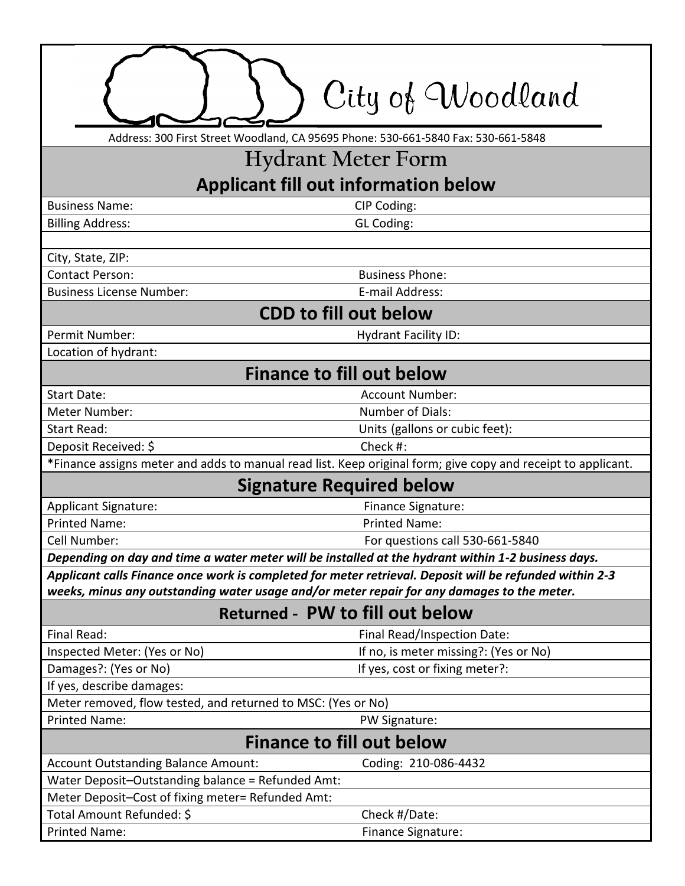|                                                                                                              | City of Woodland                      |
|--------------------------------------------------------------------------------------------------------------|---------------------------------------|
| Address: 300 First Street Woodland, CA 95695 Phone: 530-661-5840 Fax: 530-661-5848                           |                                       |
| <b>Hydrant Meter Form</b>                                                                                    |                                       |
|                                                                                                              |                                       |
| <b>Applicant fill out information below</b>                                                                  |                                       |
| <b>Business Name:</b>                                                                                        | CIP Coding:                           |
| <b>Billing Address:</b>                                                                                      | GL Coding:                            |
| City, State, ZIP:                                                                                            |                                       |
| <b>Contact Person:</b>                                                                                       | <b>Business Phone:</b>                |
| <b>Business License Number:</b>                                                                              | E-mail Address:                       |
| <b>CDD to fill out below</b>                                                                                 |                                       |
| Permit Number:                                                                                               | <b>Hydrant Facility ID:</b>           |
| Location of hydrant:                                                                                         |                                       |
| <b>Finance to fill out below</b>                                                                             |                                       |
| <b>Start Date:</b>                                                                                           | <b>Account Number:</b>                |
| Meter Number:                                                                                                | Number of Dials:                      |
| <b>Start Read:</b>                                                                                           | Units (gallons or cubic feet):        |
| Deposit Received: \$                                                                                         | Check #:                              |
| *Finance assigns meter and adds to manual read list. Keep original form; give copy and receipt to applicant. |                                       |
| <b>Signature Required below</b>                                                                              |                                       |
| <b>Applicant Signature:</b>                                                                                  | Finance Signature:                    |
| <b>Printed Name:</b>                                                                                         | <b>Printed Name:</b>                  |
| Cell Number:                                                                                                 | For questions call 530-661-5840       |
| Depending on day and time a water meter will be installed at the hydrant within 1-2 business days.           |                                       |
| Applicant calls Finance once work is completed for meter retrieval. Deposit will be refunded within 2-3      |                                       |
| weeks, minus any outstanding water usage and/or meter repair for any damages to the meter.                   |                                       |
| Returned - PW to fill out below                                                                              |                                       |
| Final Read:                                                                                                  | Final Read/Inspection Date:           |
| Inspected Meter: (Yes or No)                                                                                 | If no, is meter missing?: (Yes or No) |
| Damages?: (Yes or No)                                                                                        | If yes, cost or fixing meter?:        |
| If yes, describe damages:                                                                                    |                                       |
| Meter removed, flow tested, and returned to MSC: (Yes or No)                                                 |                                       |
| <b>Printed Name:</b>                                                                                         | PW Signature:                         |
| <b>Finance to fill out below</b>                                                                             |                                       |
| <b>Account Outstanding Balance Amount:</b>                                                                   | Coding: 210-086-4432                  |
| Water Deposit-Outstanding balance = Refunded Amt:                                                            |                                       |
| Meter Deposit-Cost of fixing meter= Refunded Amt:                                                            |                                       |
| Total Amount Refunded: \$                                                                                    | Check #/Date:                         |
| <b>Printed Name:</b>                                                                                         | Finance Signature:                    |